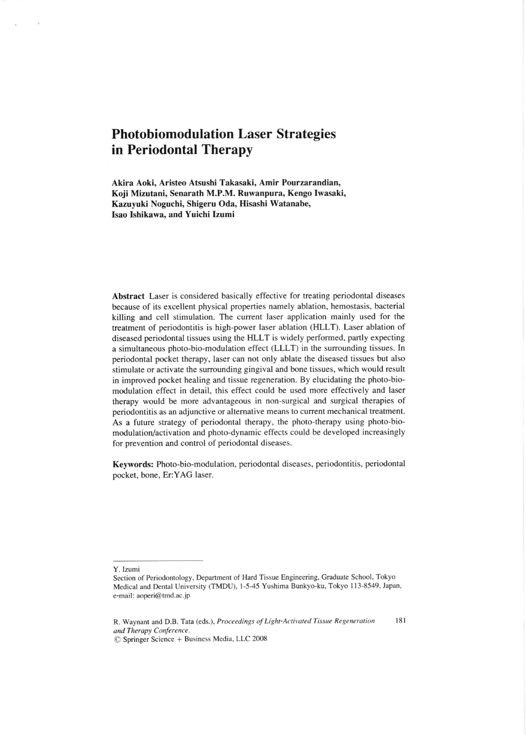## Photobiomodulation Laser Strategies in Periodontal Therapy

Akira Aoki, Aristeo Atsushi Takasaki, Amir Pourzarandian, Koji Mizutani, Senarath M.P.M. Ruwanpura, Kengo Iwasaki, Kazuyuki Noguchi, Shigeru Oda, Hisashi Watanabe, Isao Ishikawa, and Yuichi Izumi

Abstract Laser is considered basically effective for treating periodontal diseases because of its excellent physical properties namely ablation, hemostasis, bacterial killing and cell stimulation. The current laser application mainly used for the treatment of periodontitis is high-power laser ablation (HLLT). Laser ablation of diseased periodontal tissues using the HLLT is widely performed, partly expecting a simultaneous photo-bio-modulation effect (LLLT) in the surrounding tissues. In periodontal pocket therapy, laser can not only ablate the diseased tissues but also stimulate or activate the surrounding gingival and bone tissues, which would result in improved pocket healing and tissue regeneration. By elucidating the photo-biomodulation effect in detail, this effect could be used more effectively and laser therapy would be more advantageous in non-surgical and surgical therapies of periodontitis as an adjunctive or alternative means to current mechanical treatment. As a future strategy of periodontal therapy, the photo-therapy using photo-biomodulation/activation and photo-dynamic effects could be developed increasingly for prevention and control of periodontal diseases.

Keywords: Photo-bio-modulation, periodontal diseases, periodontitis, periodontal pocket, bone, Er:YAG laser.

Y. Izumi

Section of Periodontology, Department of Hard Tissue Engineering, Graduate School, Tokyo Medical and Dental University (TMDU), 1-5-45 Yushima Bunkyo-ku, Tokyo 113-8549, Japan, e-mail: aoperi@tmd.ac.jp

R. Waynant and D.B. Tata (eds.), Proceedings of Light-Activated Tissue Regeneration 181 and Therapy Conference.

O Springer Science + Business Media, LLC 2008